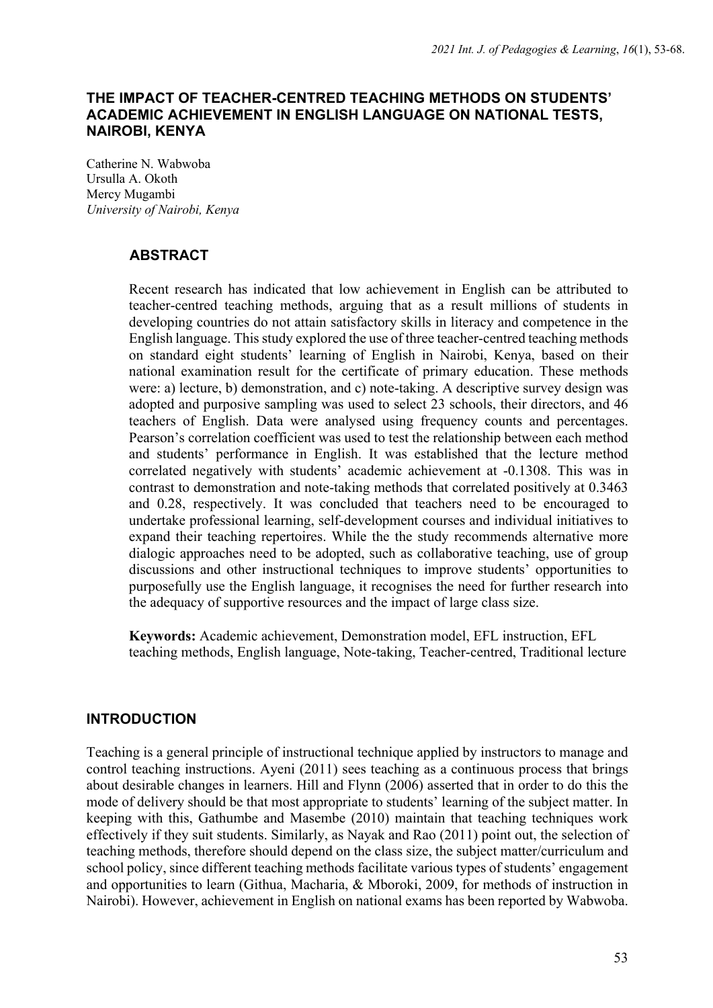## **THE IMPACT OF TEACHER-CENTRED TEACHING METHODS ON STUDENTS' ACADEMIC ACHIEVEMENT IN ENGLISH LANGUAGE ON NATIONAL TESTS, NAIROBI, KENYA**

Catherine N. Wabwoba Ursulla A. Okoth Mercy Mugambi *University of Nairobi, Kenya*

# **ABSTRACT**

Recent research has indicated that low achievement in English can be attributed to teacher-centred teaching methods, arguing that as a result millions of students in developing countries do not attain satisfactory skills in literacy and competence in the English language. This study explored the use of three teacher-centred teaching methods on standard eight students' learning of English in Nairobi, Kenya, based on their national examination result for the certificate of primary education. These methods were: a) lecture, b) demonstration, and c) note-taking. A descriptive survey design was adopted and purposive sampling was used to select 23 schools, their directors, and 46 teachers of English. Data were analysed using frequency counts and percentages. Pearson's correlation coefficient was used to test the relationship between each method and students' performance in English. It was established that the lecture method correlated negatively with students' academic achievement at -0.1308. This was in contrast to demonstration and note-taking methods that correlated positively at 0.3463 and 0.28, respectively. It was concluded that teachers need to be encouraged to undertake professional learning, self-development courses and individual initiatives to expand their teaching repertoires. While the the study recommends alternative more dialogic approaches need to be adopted, such as collaborative teaching, use of group discussions and other instructional techniques to improve students' opportunities to purposefully use the English language, it recognises the need for further research into the adequacy of supportive resources and the impact of large class size.

**Keywords:** Academic achievement, Demonstration model, EFL instruction, EFL teaching methods, English language, Note-taking, Teacher-centred, Traditional lecture

# **INTRODUCTION**

Teaching is a general principle of instructional technique applied by instructors to manage and control teaching instructions. Ayeni (2011) sees teaching as a continuous process that brings about desirable changes in learners. Hill and Flynn (2006) asserted that in order to do this the mode of delivery should be that most appropriate to students' learning of the subject matter. In keeping with this, Gathumbe and Masembe (2010) maintain that teaching techniques work effectively if they suit students. Similarly, as Nayak and Rao (2011) point out, the selection of teaching methods, therefore should depend on the class size, the subject matter/curriculum and school policy, since different teaching methods facilitate various types of students' engagement and opportunities to learn (Githua, Macharia, & Mboroki, 2009, for methods of instruction in Nairobi). However, achievement in English on national exams has been reported by Wabwoba.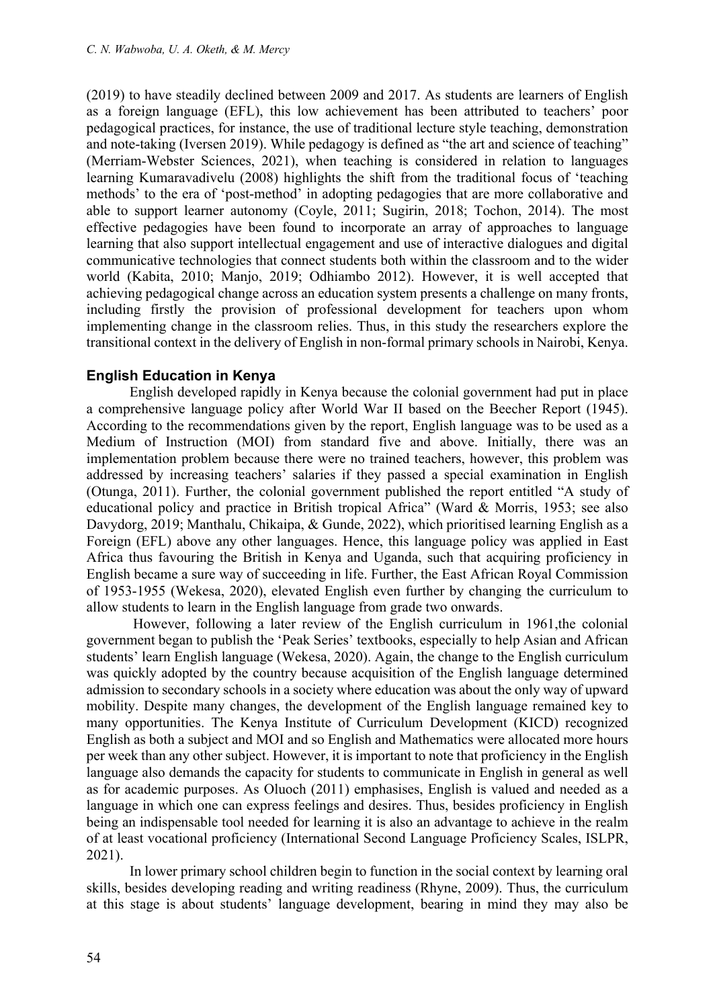(2019) to have steadily declined between 2009 and 2017. As students are learners of English as a foreign language (EFL), this low achievement has been attributed to teachers' poor pedagogical practices, for instance, the use of traditional lecture style teaching, demonstration and note-taking (Iversen 2019). While pedagogy is defined as "the art and science of teaching" (Merriam-Webster Sciences, 2021), when teaching is considered in relation to languages learning Kumaravadivelu (2008) highlights the shift from the traditional focus of 'teaching methods' to the era of 'post-method' in adopting pedagogies that are more collaborative and able to support learner autonomy (Coyle, 2011; Sugirin, 2018; Tochon, 2014). The most effective pedagogies have been found to incorporate an array of approaches to language learning that also support intellectual engagement and use of interactive dialogues and digital communicative technologies that connect students both within the classroom and to the wider world (Kabita, 2010; Manjo, 2019; Odhiambo 2012). However, it is well accepted that achieving pedagogical change across an education system presents a challenge on many fronts, including firstly the provision of professional development for teachers upon whom implementing change in the classroom relies. Thus, in this study the researchers explore the transitional context in the delivery of English in non-formal primary schools in Nairobi, Kenya.

### **English Education in Kenya**

English developed rapidly in Kenya because the colonial government had put in place a comprehensive language policy after World War II based on the Beecher Report (1945). According to the recommendations given by the report, English language was to be used as a Medium of Instruction (MOI) from standard five and above. Initially, there was an implementation problem because there were no trained teachers, however, this problem was addressed by increasing teachers' salaries if they passed a special examination in English (Otunga, 2011). Further, the colonial government published the report entitled "A study of educational policy and practice in British tropical Africa" (Ward & Morris, 1953; see also Davydorg, 2019; Manthalu, Chikaipa, & Gunde, 2022), which prioritised learning English as a Foreign (EFL) above any other languages. Hence, this language policy was applied in East Africa thus favouring the British in Kenya and Uganda, such that acquiring proficiency in English became a sure way of succeeding in life. Further, the East African Royal Commission of 1953-1955 (Wekesa, 2020), elevated English even further by changing the curriculum to allow students to learn in the English language from grade two onwards.

However, following a later review of the English curriculum in 1961,the colonial government began to publish the 'Peak Series' textbooks, especially to help Asian and African students' learn English language (Wekesa, 2020). Again, the change to the English curriculum was quickly adopted by the country because acquisition of the English language determined admission to secondary schools in a society where education was about the only way of upward mobility. Despite many changes, the development of the English language remained key to many opportunities. The Kenya Institute of Curriculum Development (KICD) recognized English as both a subject and MOI and so English and Mathematics were allocated more hours per week than any other subject. However, it is important to note that proficiency in the English language also demands the capacity for students to communicate in English in general as well as for academic purposes. As Oluoch (2011) emphasises, English is valued and needed as a language in which one can express feelings and desires. Thus, besides proficiency in English being an indispensable tool needed for learning it is also an advantage to achieve in the realm of at least vocational proficiency (International Second Language Proficiency Scales, ISLPR, 2021).

In lower primary school children begin to function in the social context by learning oral skills, besides developing reading and writing readiness (Rhyne, 2009). Thus, the curriculum at this stage is about students' language development, bearing in mind they may also be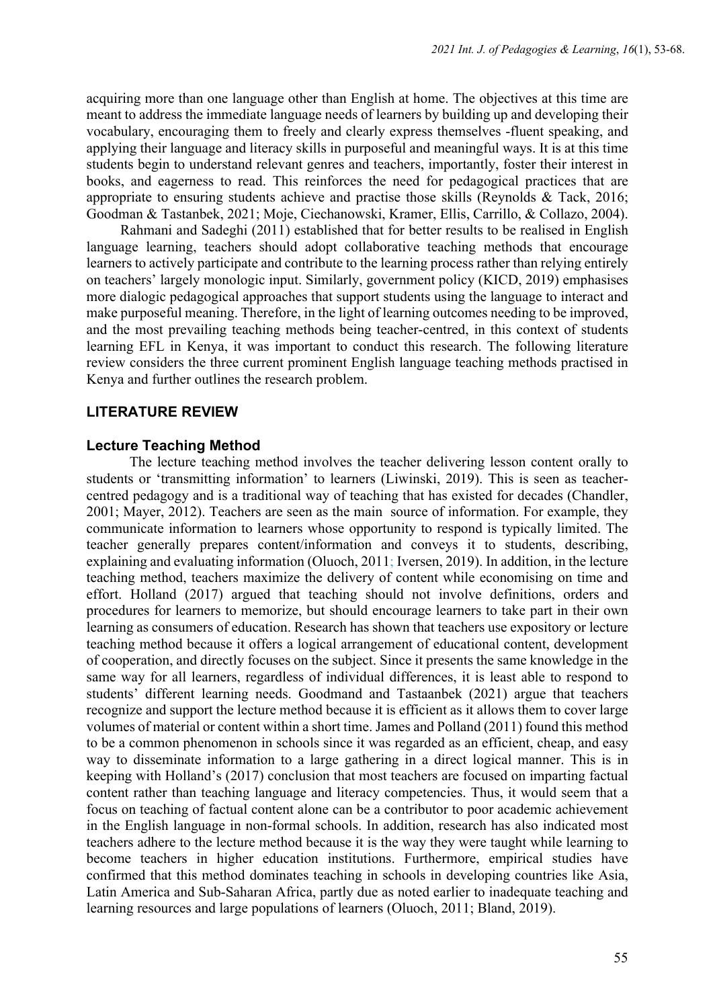acquiring more than one language other than English at home. The objectives at this time are meant to address the immediate language needs of learners by building up and developing their vocabulary, encouraging them to freely and clearly express themselves -fluent speaking, and applying their language and literacy skills in purposeful and meaningful ways. It is at this time students begin to understand relevant genres and teachers, importantly, foster their interest in books, and eagerness to read. This reinforces the need for pedagogical practices that are appropriate to ensuring students achieve and practise those skills (Reynolds & Tack, 2016; Goodman & Tastanbek, 2021; Moje, Ciechanowski, Kramer, Ellis, Carrillo, & Collazo, 2004).

Rahmani and Sadeghi (2011) established that for better results to be realised in English language learning, teachers should adopt collaborative teaching methods that encourage learners to actively participate and contribute to the learning process rather than relying entirely on teachers' largely monologic input. Similarly, government policy (KICD, 2019) emphasises more dialogic pedagogical approaches that support students using the language to interact and make purposeful meaning. Therefore, in the light of learning outcomes needing to be improved, and the most prevailing teaching methods being teacher-centred, in this context of students learning EFL in Kenya, it was important to conduct this research. The following literature review considers the three current prominent English language teaching methods practised in Kenya and further outlines the research problem.

### **LITERATURE REVIEW**

#### **Lecture Teaching Method**

The lecture teaching method involves the teacher delivering lesson content orally to students or 'transmitting information' to learners (Liwinski, 2019). This is seen as teachercentred pedagogy and is a traditional way of teaching that has existed for decades (Chandler, 2001; Mayer, 2012). Teachers are seen as the main source of information. For example, they communicate information to learners whose opportunity to respond is typically limited. The teacher generally prepares content/information and conveys it to students, describing, explaining and evaluating information (Oluoch, 2011; Iversen, 2019). In addition, in the lecture teaching method, teachers maximize the delivery of content while economising on time and effort. Holland (2017) argued that teaching should not involve definitions, orders and procedures for learners to memorize, but should encourage learners to take part in their own learning as consumers of education. Research has shown that teachers use expository or lecture teaching method because it offers a logical arrangement of educational content, development of cooperation, and directly focuses on the subject. Since it presents the same knowledge in the same way for all learners, regardless of individual differences, it is least able to respond to students' different learning needs. Goodmand and Tastaanbek (2021) argue that teachers recognize and support the lecture method because it is efficient as it allows them to cover large volumes of material or content within a short time. James and Polland (2011) found this method to be a common phenomenon in schools since it was regarded as an efficient, cheap, and easy way to disseminate information to a large gathering in a direct logical manner. This is in keeping with Holland's (2017) conclusion that most teachers are focused on imparting factual content rather than teaching language and literacy competencies. Thus, it would seem that a focus on teaching of factual content alone can be a contributor to poor academic achievement in the English language in non-formal schools. In addition, research has also indicated most teachers adhere to the lecture method because it is the way they were taught while learning to become teachers in higher education institutions. Furthermore, empirical studies have confirmed that this method dominates teaching in schools in developing countries like Asia, Latin America and Sub-Saharan Africa, partly due as noted earlier to inadequate teaching and learning resources and large populations of learners (Oluoch, 2011; Bland, 2019).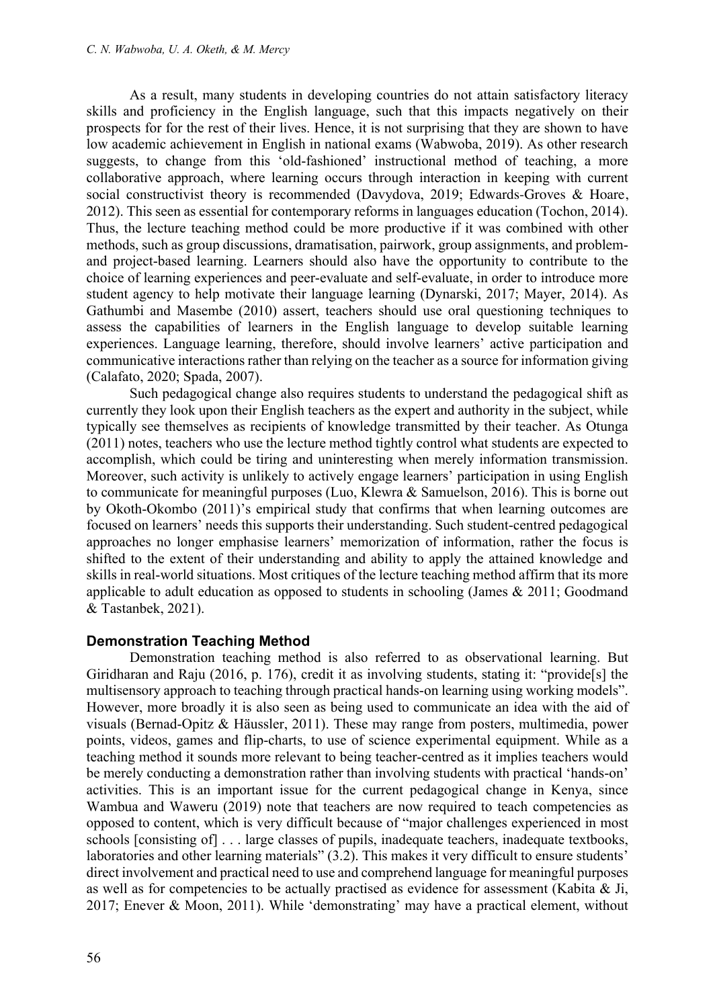As a result, many students in developing countries do not attain satisfactory literacy skills and proficiency in the English language, such that this impacts negatively on their prospects for for the rest of their lives. Hence, it is not surprising that they are shown to have low academic achievement in English in national exams (Wabwoba, 2019). As other research suggests, to change from this 'old-fashioned' instructional method of teaching, a more collaborative approach, where learning occurs through interaction in keeping with current social constructivist theory is recommended (Davydova, 2019; Edwards-Groves & Hoare, 2012). This seen as essential for contemporary reforms in languages education (Tochon, 2014). Thus, the lecture teaching method could be more productive if it was combined with other methods, such as group discussions, dramatisation, pairwork, group assignments, and problemand project-based learning. Learners should also have the opportunity to contribute to the choice of learning experiences and peer-evaluate and self-evaluate, in order to introduce more student agency to help motivate their language learning (Dynarski, 2017; Mayer, 2014). As Gathumbi and Masembe (2010) assert, teachers should use oral questioning techniques to assess the capabilities of learners in the English language to develop suitable learning experiences. Language learning, therefore, should involve learners' active participation and communicative interactions rather than relying on the teacher as a source for information giving (Calafato, 2020; Spada, 2007).

Such pedagogical change also requires students to understand the pedagogical shift as currently they look upon their English teachers as the expert and authority in the subject, while typically see themselves as recipients of knowledge transmitted by their teacher. As Otunga (2011) notes, teachers who use the lecture method tightly control what students are expected to accomplish, which could be tiring and uninteresting when merely information transmission. Moreover, such activity is unlikely to actively engage learners' participation in using English to communicate for meaningful purposes (Luo, Klewra & Samuelson, 2016). This is borne out by Okoth-Okombo (2011)'s empirical study that confirms that when learning outcomes are focused on learners' needs this supports their understanding. Such student-centred pedagogical approaches no longer emphasise learners' memorization of information, rather the focus is shifted to the extent of their understanding and ability to apply the attained knowledge and skills in real-world situations. Most critiques of the lecture teaching method affirm that its more applicable to adult education as opposed to students in schooling (James & 2011; Goodmand & Tastanbek, 2021).

### **Demonstration Teaching Method**

Demonstration teaching method is also referred to as observational learning. But Giridharan and Raju (2016, p. 176), credit it as involving students, stating it: "provide[s] the multisensory approach to teaching through practical hands-on learning using working models". However, more broadly it is also seen as being used to communicate an idea with the aid of visuals (Bernad-Opitz & Häussler, 2011). These may range from posters, multimedia, power points, videos, games and flip-charts, to use of science experimental equipment. While as a teaching method it sounds more relevant to being teacher-centred as it implies teachers would be merely conducting a demonstration rather than involving students with practical 'hands-on' activities. This is an important issue for the current pedagogical change in Kenya, since Wambua and Waweru (2019) note that teachers are now required to teach competencies as opposed to content, which is very difficult because of "major challenges experienced in most schools [consisting of] . . . large classes of pupils, inadequate teachers, inadequate textbooks, laboratories and other learning materials" (3.2). This makes it very difficult to ensure students' direct involvement and practical need to use and comprehend language for meaningful purposes as well as for competencies to be actually practised as evidence for assessment (Kabita & Ji, 2017; Enever & Moon, 2011). While 'demonstrating' may have a practical element, without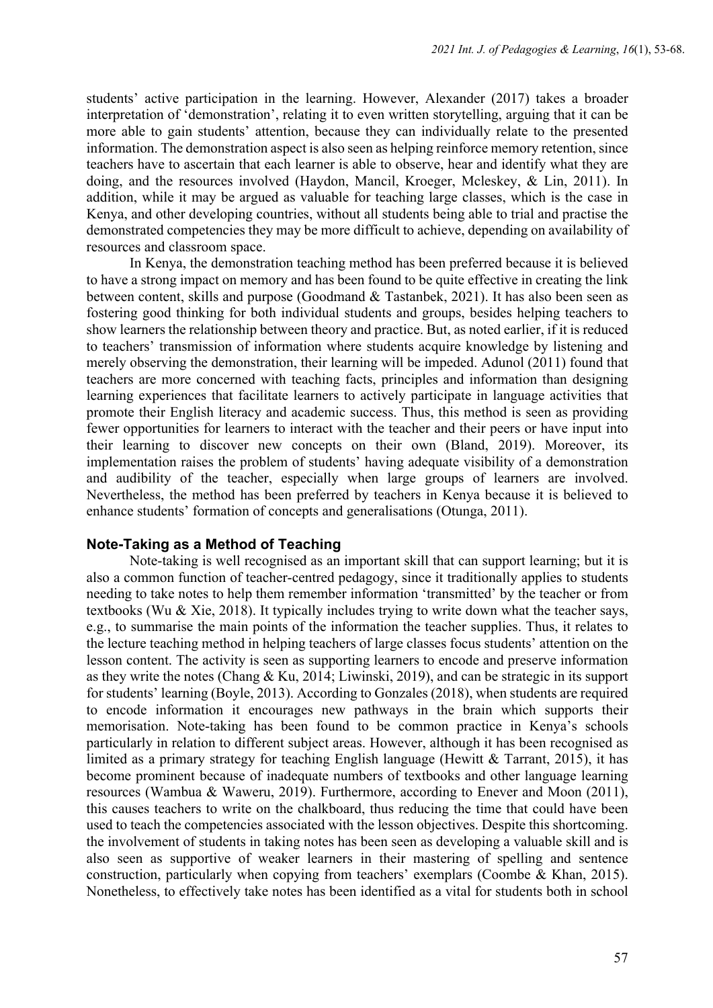students' active participation in the learning. However, Alexander (2017) takes a broader interpretation of 'demonstration', relating it to even written storytelling, arguing that it can be more able to gain students' attention, because they can individually relate to the presented information. The demonstration aspect is also seen as helping reinforce memory retention, since teachers have to ascertain that each learner is able to observe, hear and identify what they are doing, and the resources involved (Haydon, Mancil, Kroeger, Mcleskey, & Lin, 2011). In addition, while it may be argued as valuable for teaching large classes, which is the case in Kenya, and other developing countries, without all students being able to trial and practise the demonstrated competencies they may be more difficult to achieve, depending on availability of resources and classroom space.

In Kenya, the demonstration teaching method has been preferred because it is believed to have a strong impact on memory and has been found to be quite effective in creating the link between content, skills and purpose (Goodmand & Tastanbek, 2021). It has also been seen as fostering good thinking for both individual students and groups, besides helping teachers to show learners the relationship between theory and practice. But, as noted earlier, if it is reduced to teachers' transmission of information where students acquire knowledge by listening and merely observing the demonstration, their learning will be impeded. Adunol (2011) found that teachers are more concerned with teaching facts, principles and information than designing learning experiences that facilitate learners to actively participate in language activities that promote their English literacy and academic success. Thus, this method is seen as providing fewer opportunities for learners to interact with the teacher and their peers or have input into their learning to discover new concepts on their own (Bland, 2019). Moreover, its implementation raises the problem of students' having adequate visibility of a demonstration and audibility of the teacher, especially when large groups of learners are involved. Nevertheless, the method has been preferred by teachers in Kenya because it is believed to enhance students' formation of concepts and generalisations (Otunga, 2011).

### **Note-Taking as a Method of Teaching**

Note-taking is well recognised as an important skill that can support learning; but it is also a common function of teacher-centred pedagogy, since it traditionally applies to students needing to take notes to help them remember information 'transmitted' by the teacher or from textbooks (Wu & Xie, 2018). It typically includes trying to write down what the teacher says, e.g., to summarise the main points of the information the teacher supplies. Thus, it relates to the lecture teaching method in helping teachers of large classes focus students' attention on the lesson content. The activity is seen as supporting learners to encode and preserve information as they write the notes (Chang & Ku, 2014; Liwinski, 2019), and can be strategic in its support for students' learning (Boyle, 2013). According to Gonzales (2018), when students are required to encode information it encourages new pathways in the brain which supports their memorisation. Note-taking has been found to be common practice in Kenya's schools particularly in relation to different subject areas. However, although it has been recognised as limited as a primary strategy for teaching English language (Hewitt & Tarrant, 2015), it has become prominent because of inadequate numbers of textbooks and other language learning resources (Wambua & Waweru, 2019). Furthermore, according to Enever and Moon (2011), this causes teachers to write on the chalkboard, thus reducing the time that could have been used to teach the competencies associated with the lesson objectives. Despite this shortcoming. the involvement of students in taking notes has been seen as developing a valuable skill and is also seen as supportive of weaker learners in their mastering of spelling and sentence construction, particularly when copying from teachers' exemplars (Coombe & Khan, 2015). Nonetheless, to effectively take notes has been identified as a vital for students both in school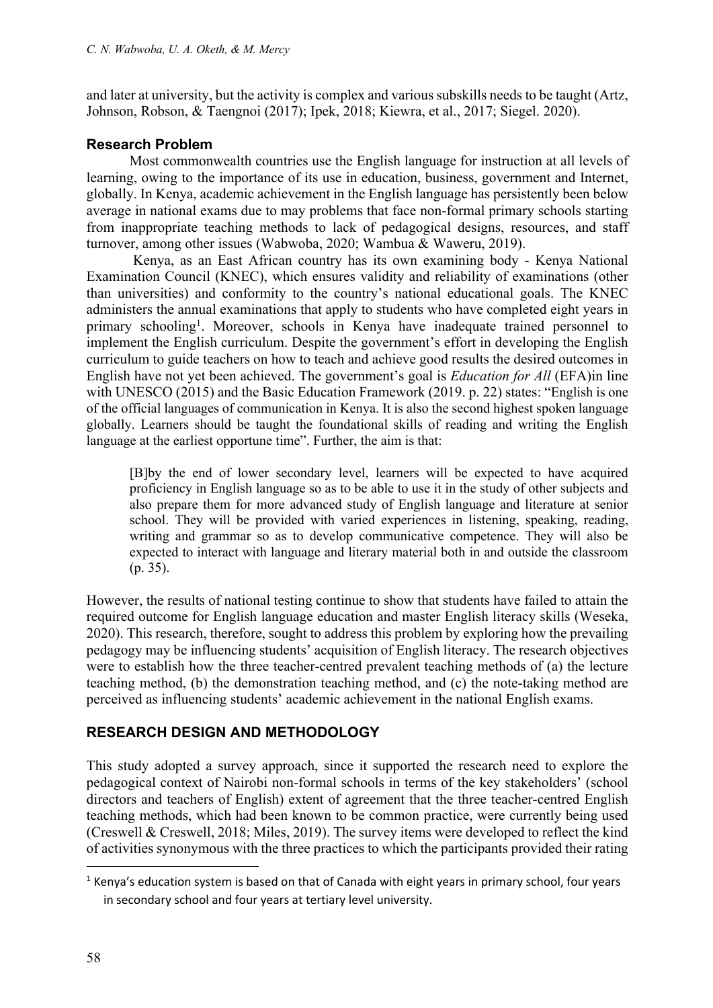and later at university, but the activity is complex and various subskills needs to be taught (Artz, Johnson, Robson, & Taengnoi (2017); Ipek, 2018; Kiewra, et al., 2017; Siegel. 2020).

### **Research Problem**

Most commonwealth countries use the English language for instruction at all levels of learning, owing to the importance of its use in education, business, government and Internet, globally. In Kenya, academic achievement in the English language has persistently been below average in national exams due to may problems that face non-formal primary schools starting from inappropriate teaching methods to lack of pedagogical designs, resources, and staff turnover, among other issues (Wabwoba, 2020; Wambua & Waweru, 2019).

Kenya, as an East African country has its own examining body - Kenya National Examination Council (KNEC), which ensures validity and reliability of examinations (other than universities) and conformity to the country's national educational goals. The KNEC administers the annual examinations that apply to students who have completed eight years in primary schooling<sup>1</sup>. Moreover, schools in Kenya have inadequate trained personnel to implement the English curriculum. Despite the government's effort in developing the English curriculum to guide teachers on how to teach and achieve good results the desired outcomes in English have not yet been achieved. The government's goal is *Education for All* (EFA)in line with UNESCO (2015) and the Basic Education Framework (2019. p. 22) states: "English is one of the official languages of communication in Kenya. It is also the second highest spoken language globally. Learners should be taught the foundational skills of reading and writing the English language at the earliest opportune time". Further, the aim is that:

[B]by the end of lower secondary level, learners will be expected to have acquired proficiency in English language so as to be able to use it in the study of other subjects and also prepare them for more advanced study of English language and literature at senior school. They will be provided with varied experiences in listening, speaking, reading, writing and grammar so as to develop communicative competence. They will also be expected to interact with language and literary material both in and outside the classroom (p. 35).

However, the results of national testing continue to show that students have failed to attain the required outcome for English language education and master English literacy skills (Weseka, 2020). This research, therefore, sought to address this problem by exploring how the prevailing pedagogy may be influencing students' acquisition of English literacy. The research objectives were to establish how the three teacher-centred prevalent teaching methods of (a) the lecture teaching method, (b) the demonstration teaching method, and (c) the note-taking method are perceived as influencing students' academic achievement in the national English exams.

# **RESEARCH DESIGN AND METHODOLOGY**

This study adopted a survey approach, since it supported the research need to explore the pedagogical context of Nairobi non-formal schools in terms of the key stakeholders' (school directors and teachers of English) extent of agreement that the three teacher-centred English teaching methods, which had been known to be common practice, were currently being used (Creswell & Creswell, 2018; Miles, 2019). The survey items were developed to reflect the kind of activities synonymous with the three practices to which the participants provided their rating

 $<sup>1</sup>$  Kenya's education system is based on that of Canada with eight years in primary school, four years</sup> in secondary school and four years at tertiary level university.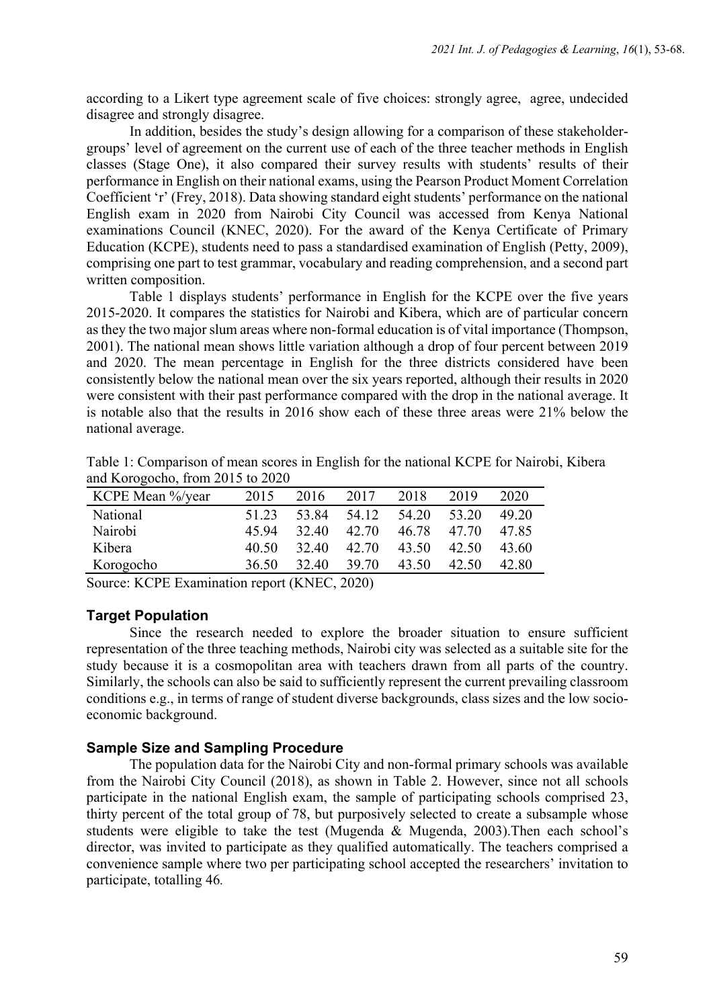according to a Likert type agreement scale of five choices: strongly agree, agree, undecided disagree and strongly disagree.

In addition, besides the study's design allowing for a comparison of these stakeholdergroups' level of agreement on the current use of each of the three teacher methods in English classes (Stage One), it also compared their survey results with students' results of their performance in English on their national exams, using the Pearson Product Moment Correlation Coefficient 'r' (Frey, 2018). Data showing standard eight students' performance on the national English exam in 2020 from Nairobi City Council was accessed from Kenya National examinations Council (KNEC, 2020). For the award of the Kenya Certificate of Primary Education (KCPE), students need to pass a standardised examination of English (Petty, 2009), comprising one part to test grammar, vocabulary and reading comprehension, and a second part written composition.

Table 1 displays students' performance in English for the KCPE over the five years 2015-2020. It compares the statistics for Nairobi and Kibera, which are of particular concern as they the two major slum areas where non-formal education is of vital importance (Thompson, 2001). The national mean shows little variation although a drop of four percent between 2019 and 2020. The mean percentage in English for the three districts considered have been consistently below the national mean over the six years reported, although their results in 2020 were consistent with their past performance compared with the drop in the national average. It is notable also that the results in 2016 show each of these three areas were 21% below the national average.

| KCPE Mean %/year | 2015  | 2016  | 2017  | 2018  | 2019  | 2020  |
|------------------|-------|-------|-------|-------|-------|-------|
| National         | 51.23 | 53.84 | 54.12 | 54.20 | 53.20 | 49.20 |
| Nairobi          | 45.94 | 32.40 | 42.70 | 46.78 | 47.70 | 47.85 |
| Kibera           | 40.50 | 32.40 | 42.70 | 43.50 | 42.50 | 43.60 |
| Korogocho        | 36.50 | 32.40 | 39.70 | 43.50 | 42.50 | 42.80 |

Table 1: Comparison of mean scores in English for the national KCPE for Nairobi, Kibera and Korogocho, from 2015 to 2020

Source: KCPE Examination report (KNEC, 2020)

### **Target Population**

Since the research needed to explore the broader situation to ensure sufficient representation of the three teaching methods, Nairobi city was selected as a suitable site for the study because it is a cosmopolitan area with teachers drawn from all parts of the country. Similarly, the schools can also be said to sufficiently represent the current prevailing classroom conditions e.g., in terms of range of student diverse backgrounds, class sizes and the low socioeconomic background.

### **Sample Size and Sampling Procedure**

The population data for the Nairobi City and non-formal primary schools was available from the Nairobi City Council (2018), as shown in Table 2. However, since not all schools participate in the national English exam, the sample of participating schools comprised 23, thirty percent of the total group of 78, but purposively selected to create a subsample whose students were eligible to take the test (Mugenda & Mugenda, 2003).Then each school's director, was invited to participate as they qualified automatically. The teachers comprised a convenience sample where two per participating school accepted the researchers' invitation to participate, totalling 46*.*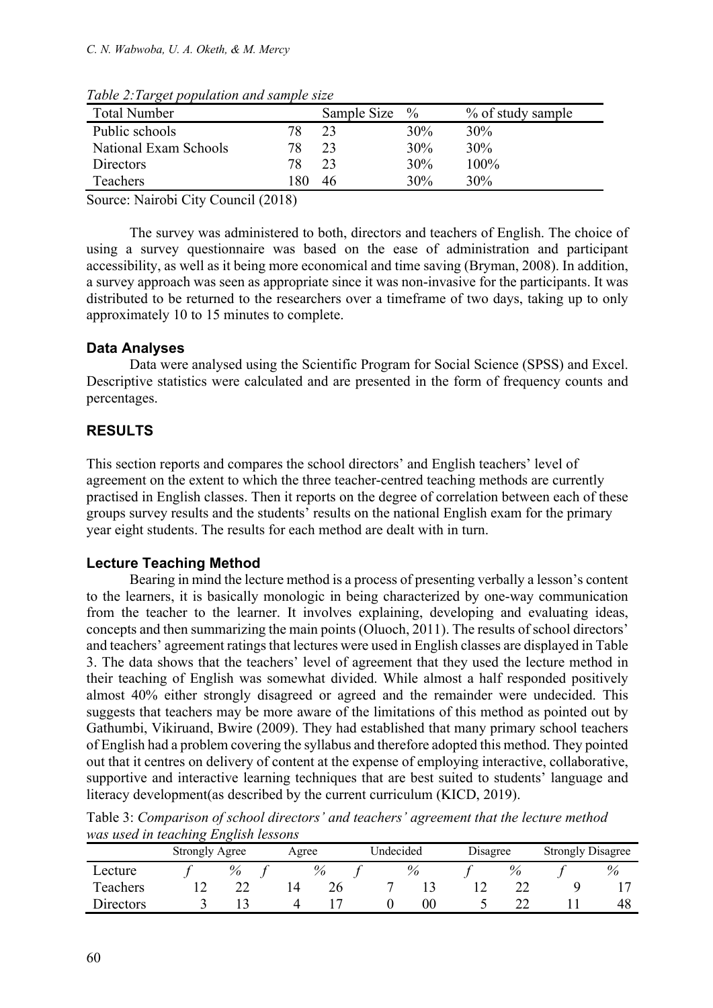| <b>Total Number</b>   |     | Sample Size | $\%$ | % of study sample |
|-----------------------|-----|-------------|------|-------------------|
| Public schools        | 78  |             | 30%  | 30%               |
| National Exam Schools | 78  |             | 30%  | 30%               |
| Directors             | 78  |             | 30%  | $100\%$           |
| Teachers              | -80 | 46          | 30%  | 30%               |

*Table 2:Target population and sample size*

Source: Nairobi City Council (2018)

The survey was administered to both, directors and teachers of English. The choice of using a survey questionnaire was based on the ease of administration and participant accessibility, as well as it being more economical and time saving (Bryman, 2008). In addition, a survey approach was seen as appropriate since it was non-invasive for the participants. It was distributed to be returned to the researchers over a timeframe of two days, taking up to only approximately 10 to 15 minutes to complete.

# **Data Analyses**

Data were analysed using the Scientific Program for Social Science (SPSS) and Excel. Descriptive statistics were calculated and are presented in the form of frequency counts and percentages.

# **RESULTS**

This section reports and compares the school directors' and English teachers' level of agreement on the extent to which the three teacher-centred teaching methods are currently practised in English classes. Then it reports on the degree of correlation between each of these groups survey results and the students' results on the national English exam for the primary year eight students. The results for each method are dealt with in turn.

# **Lecture Teaching Method**

Bearing in mind the lecture method is a process of presenting verbally a lesson's content to the learners, it is basically monologic in being characterized by one-way communication from the teacher to the learner. It involves explaining, developing and evaluating ideas, concepts and then summarizing the main points (Oluoch, 2011). The results of school directors' and teachers' agreement ratings that lectures were used in English classes are displayed in Table 3. The data shows that the teachers' level of agreement that they used the lecture method in their teaching of English was somewhat divided. While almost a half responded positively almost 40% either strongly disagreed or agreed and the remainder were undecided. This suggests that teachers may be more aware of the limitations of this method as pointed out by Gathumbi, Vikiruand, Bwire (2009). They had established that many primary school teachers of English had a problem covering the syllabus and therefore adopted this method. They pointed out that it centres on delivery of content at the expense of employing interactive, collaborative, supportive and interactive learning techniques that are best suited to students' language and literacy development(as described by the current curriculum (KICD, 2019).

| was used in leaching English lessons |                       |      |  |                    |  |    |          |      |                          |    |
|--------------------------------------|-----------------------|------|--|--------------------|--|----|----------|------|--------------------------|----|
|                                      | <b>Strongly Agree</b> |      |  | Undecided<br>Agree |  |    | Disagree |      | <b>Strongly Disagree</b> |    |
| Lecture                              |                       | $\%$ |  |                    |  |    |          | $\%$ |                          |    |
| Teachers                             |                       |      |  |                    |  |    |          |      |                          |    |
| Directors                            |                       |      |  |                    |  | 00 |          |      |                          | 48 |

Table 3: *Comparison of school directors' and teachers' agreement that the lecture method was used in teaching English lessons*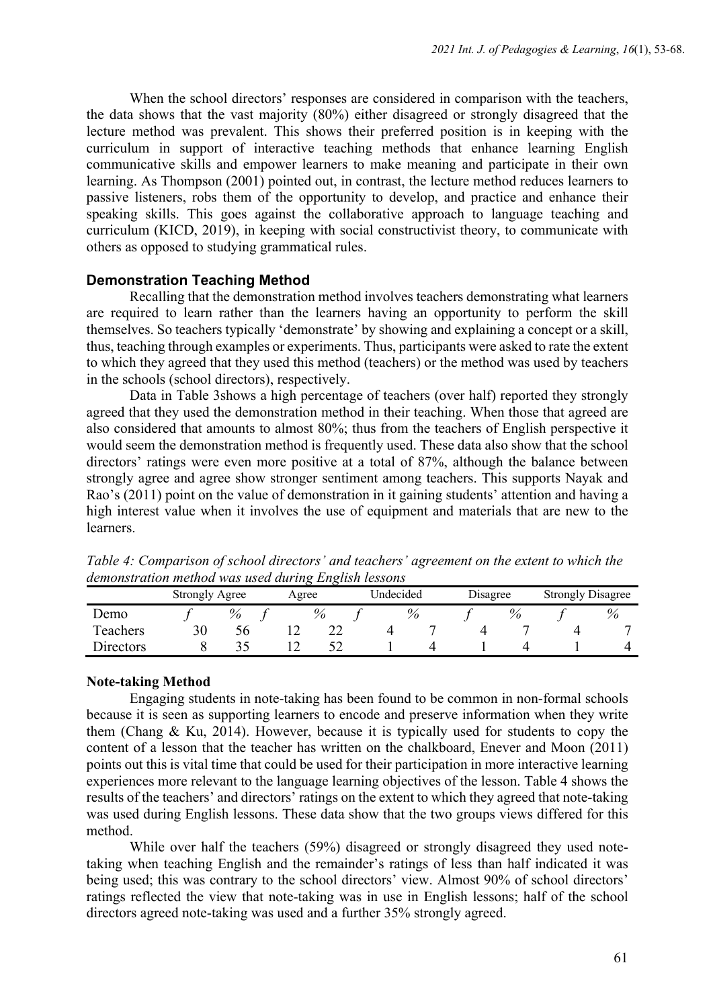When the school directors' responses are considered in comparison with the teachers, the data shows that the vast majority (80%) either disagreed or strongly disagreed that the lecture method was prevalent. This shows their preferred position is in keeping with the curriculum in support of interactive teaching methods that enhance learning English communicative skills and empower learners to make meaning and participate in their own learning. As Thompson (2001) pointed out, in contrast, the lecture method reduces learners to passive listeners, robs them of the opportunity to develop, and practice and enhance their speaking skills. This goes against the collaborative approach to language teaching and curriculum (KICD, 2019), in keeping with social constructivist theory, to communicate with others as opposed to studying grammatical rules.

### **Demonstration Teaching Method**

Recalling that the demonstration method involves teachers demonstrating what learners are required to learn rather than the learners having an opportunity to perform the skill themselves. So teachers typically 'demonstrate' by showing and explaining a concept or a skill, thus, teaching through examples or experiments. Thus, participants were asked to rate the extent to which they agreed that they used this method (teachers) or the method was used by teachers in the schools (school directors), respectively.

Data in Table 3shows a high percentage of teachers (over half) reported they strongly agreed that they used the demonstration method in their teaching. When those that agreed are also considered that amounts to almost 80%; thus from the teachers of English perspective it would seem the demonstration method is frequently used. These data also show that the school directors' ratings were even more positive at a total of 87%, although the balance between strongly agree and agree show stronger sentiment among teachers. This supports Nayak and Rao's (2011) point on the value of demonstration in it gaining students' attention and having a high interest value when it involves the use of equipment and materials that are new to the learners.

| aemonstration method was used during English tessons |                       |      |       |                       |  |  |                          |  |      |
|------------------------------------------------------|-----------------------|------|-------|-----------------------|--|--|--------------------------|--|------|
|                                                      | <b>Strongly Agree</b> |      | Agree | Undecided<br>Disagree |  |  | <b>Strongly Disagree</b> |  |      |
| Demo                                                 |                       | $\%$ |       |                       |  |  |                          |  | $\%$ |
| Teachers                                             | 30                    |      |       |                       |  |  |                          |  |      |
| Directors                                            |                       |      |       |                       |  |  |                          |  |      |

*Table 4: Comparison of school directors' and teachers' agreement on the extent to which the demonstration method was used during English lessons*

### **Note-taking Method**

Engaging students in note-taking has been found to be common in non-formal schools because it is seen as supporting learners to encode and preserve information when they write them (Chang & Ku, 2014). However, because it is typically used for students to copy the content of a lesson that the teacher has written on the chalkboard, Enever and Moon (2011) points out this is vital time that could be used for their participation in more interactive learning experiences more relevant to the language learning objectives of the lesson. Table 4 shows the results of the teachers' and directors' ratings on the extent to which they agreed that note-taking was used during English lessons. These data show that the two groups views differed for this method.

While over half the teachers (59%) disagreed or strongly disagreed they used notetaking when teaching English and the remainder's ratings of less than half indicated it was being used; this was contrary to the school directors' view. Almost 90% of school directors' ratings reflected the view that note-taking was in use in English lessons; half of the school directors agreed note-taking was used and a further 35% strongly agreed.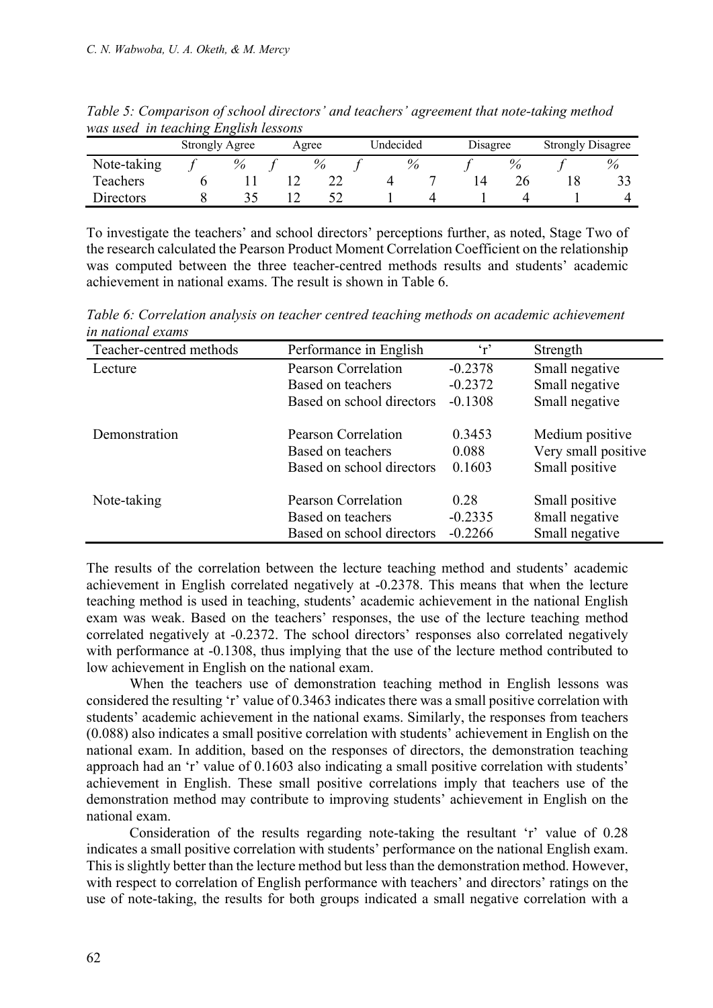| was used in leaching English lessons |                       |  |  |       |           |  |      |          |  |                          |      |
|--------------------------------------|-----------------------|--|--|-------|-----------|--|------|----------|--|--------------------------|------|
|                                      | <b>Strongly Agree</b> |  |  | Agree | Undecided |  |      | Disagree |  | <b>Strongly Disagree</b> |      |
| Note-taking                          |                       |  |  |       |           |  | $\%$ |          |  |                          | $\%$ |
| Teachers                             |                       |  |  |       |           |  |      |          |  |                          |      |
| <b>Directors</b>                     |                       |  |  |       |           |  |      |          |  |                          |      |

*Table 5: Comparison of school directors' and teachers' agreement that note-taking method was used in teaching English lessons*

To investigate the teachers' and school directors' perceptions further, as noted, Stage Two of the research calculated the Pearson Product Moment Correlation Coefficient on the relationship was computed between the three teacher-centred methods results and students' academic achievement in national exams. The result is shown in Table 6.

Teacher-centred methods Performance in English 'r' Strength Lecture Pearson Correlation -0.2378 Small negative Based on teachers -0.2372 Small negative Based on school directors -0.1308 Small negative Demonstration Pearson Correlation 0.3453 Medium positive Based on teachers 0.088 Very small positive Based on school directors 0.1603 Small positive Note-taking Pearson Correlation 0.28 Small positive Based on teachers -0.2335 8mall negative Based on school directors -0.2266 Small negative

*Table 6: Correlation analysis on teacher centred teaching methods on academic achievement in national exams*

The results of the correlation between the lecture teaching method and students' academic achievement in English correlated negatively at -0.2378. This means that when the lecture teaching method is used in teaching, students' academic achievement in the national English exam was weak. Based on the teachers' responses, the use of the lecture teaching method correlated negatively at -0.2372. The school directors' responses also correlated negatively with performance at -0.1308, thus implying that the use of the lecture method contributed to low achievement in English on the national exam.

When the teachers use of demonstration teaching method in English lessons was considered the resulting 'r' value of 0.3463 indicates there was a small positive correlation with students' academic achievement in the national exams. Similarly, the responses from teachers (0.088) also indicates a small positive correlation with students' achievement in English on the national exam. In addition, based on the responses of directors, the demonstration teaching approach had an 'r' value of 0.1603 also indicating a small positive correlation with students' achievement in English. These small positive correlations imply that teachers use of the demonstration method may contribute to improving students' achievement in English on the national exam.

Consideration of the results regarding note-taking the resultant 'r' value of 0.28 indicates a small positive correlation with students' performance on the national English exam. This is slightly better than the lecture method but less than the demonstration method. However, with respect to correlation of English performance with teachers' and directors' ratings on the use of note-taking, the results for both groups indicated a small negative correlation with a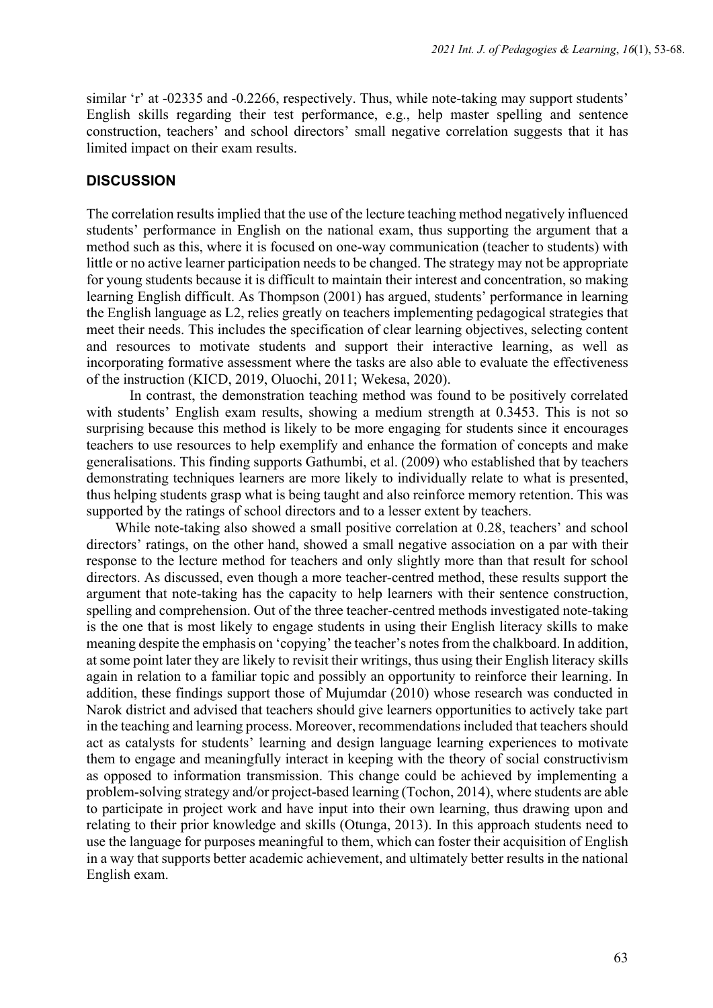similar 'r' at -02335 and -0.2266, respectively. Thus, while note-taking may support students' English skills regarding their test performance, e.g., help master spelling and sentence construction, teachers' and school directors' small negative correlation suggests that it has limited impact on their exam results.

### **DISCUSSION**

The correlation results implied that the use of the lecture teaching method negatively influenced students' performance in English on the national exam, thus supporting the argument that a method such as this, where it is focused on one-way communication (teacher to students) with little or no active learner participation needs to be changed. The strategy may not be appropriate for young students because it is difficult to maintain their interest and concentration, so making learning English difficult. As Thompson (2001) has argued, students' performance in learning the English language as L2, relies greatly on teachers implementing pedagogical strategies that meet their needs. This includes the specification of clear learning objectives, selecting content and resources to motivate students and support their interactive learning, as well as incorporating formative assessment where the tasks are also able to evaluate the effectiveness of the instruction (KICD, 2019, Oluochi, 2011; Wekesa, 2020).

In contrast, the demonstration teaching method was found to be positively correlated with students' English exam results, showing a medium strength at 0.3453. This is not so surprising because this method is likely to be more engaging for students since it encourages teachers to use resources to help exemplify and enhance the formation of concepts and make generalisations. This finding supports Gathumbi, et al. (2009) who established that by teachers demonstrating techniques learners are more likely to individually relate to what is presented, thus helping students grasp what is being taught and also reinforce memory retention. This was supported by the ratings of school directors and to a lesser extent by teachers.

While note-taking also showed a small positive correlation at 0.28, teachers' and school directors' ratings, on the other hand, showed a small negative association on a par with their response to the lecture method for teachers and only slightly more than that result for school directors. As discussed, even though a more teacher-centred method, these results support the argument that note-taking has the capacity to help learners with their sentence construction, spelling and comprehension. Out of the three teacher-centred methods investigated note-taking is the one that is most likely to engage students in using their English literacy skills to make meaning despite the emphasis on 'copying' the teacher's notes from the chalkboard. In addition, at some point later they are likely to revisit their writings, thus using their English literacy skills again in relation to a familiar topic and possibly an opportunity to reinforce their learning. In addition, these findings support those of Mujumdar (2010) whose research was conducted in Narok district and advised that teachers should give learners opportunities to actively take part in the teaching and learning process. Moreover, recommendations included that teachers should act as catalysts for students' learning and design language learning experiences to motivate them to engage and meaningfully interact in keeping with the theory of social constructivism as opposed to information transmission. This change could be achieved by implementing a problem-solving strategy and/or project-based learning (Tochon, 2014), where students are able to participate in project work and have input into their own learning, thus drawing upon and relating to their prior knowledge and skills (Otunga, 2013). In this approach students need to use the language for purposes meaningful to them, which can foster their acquisition of English in a way that supports better academic achievement, and ultimately better results in the national English exam.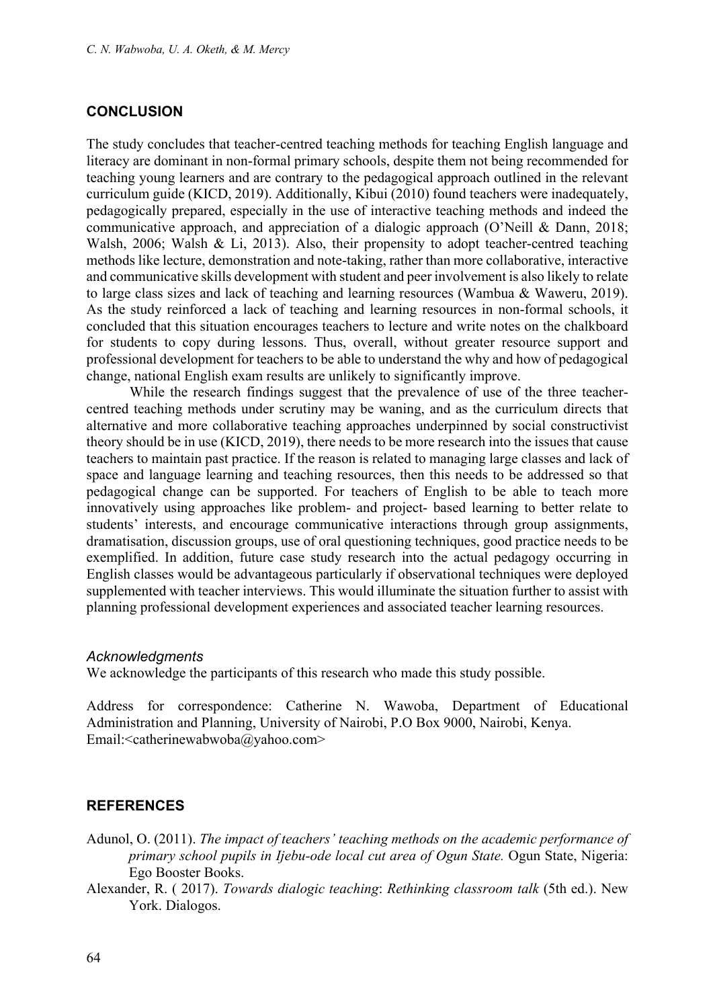### **CONCLUSION**

The study concludes that teacher-centred teaching methods for teaching English language and literacy are dominant in non-formal primary schools, despite them not being recommended for teaching young learners and are contrary to the pedagogical approach outlined in the relevant curriculum guide (KICD, 2019). Additionally, Kibui (2010) found teachers were inadequately, pedagogically prepared, especially in the use of interactive teaching methods and indeed the communicative approach, and appreciation of a dialogic approach (O'Neill & Dann, 2018; Walsh, 2006; Walsh & Li, 2013). Also, their propensity to adopt teacher-centred teaching methods like lecture, demonstration and note-taking, rather than more collaborative, interactive and communicative skills development with student and peer involvement is also likely to relate to large class sizes and lack of teaching and learning resources (Wambua & Waweru, 2019). As the study reinforced a lack of teaching and learning resources in non-formal schools, it concluded that this situation encourages teachers to lecture and write notes on the chalkboard for students to copy during lessons. Thus, overall, without greater resource support and professional development for teachers to be able to understand the why and how of pedagogical change, national English exam results are unlikely to significantly improve.

While the research findings suggest that the prevalence of use of the three teachercentred teaching methods under scrutiny may be waning, and as the curriculum directs that alternative and more collaborative teaching approaches underpinned by social constructivist theory should be in use (KICD, 2019), there needs to be more research into the issues that cause teachers to maintain past practice. If the reason is related to managing large classes and lack of space and language learning and teaching resources, then this needs to be addressed so that pedagogical change can be supported. For teachers of English to be able to teach more innovatively using approaches like problem- and project- based learning to better relate to students' interests, and encourage communicative interactions through group assignments, dramatisation, discussion groups, use of oral questioning techniques, good practice needs to be exemplified. In addition, future case study research into the actual pedagogy occurring in English classes would be advantageous particularly if observational techniques were deployed supplemented with teacher interviews. This would illuminate the situation further to assist with planning professional development experiences and associated teacher learning resources.

#### *Acknowledgments*

We acknowledge the participants of this research who made this study possible.

Address for correspondence: Catherine N. Wawoba, Department of Educational Administration and Planning, University of Nairobi, P.O Box 9000, Nairobi, Kenya. Email:<catherinewabwoba@yahoo.com>

### **REFERENCES**

- Adunol, O. (2011). *The impact of teachers' teaching methods on the academic performance of primary school pupils in Ijebu-ode local cut area of Ogun State.* Ogun State, Nigeria: Ego Booster Books.
- Alexander, R. ( 2017). *Towards dialogic teaching*: *Rethinking classroom talk* (5th ed.). New York. Dialogos.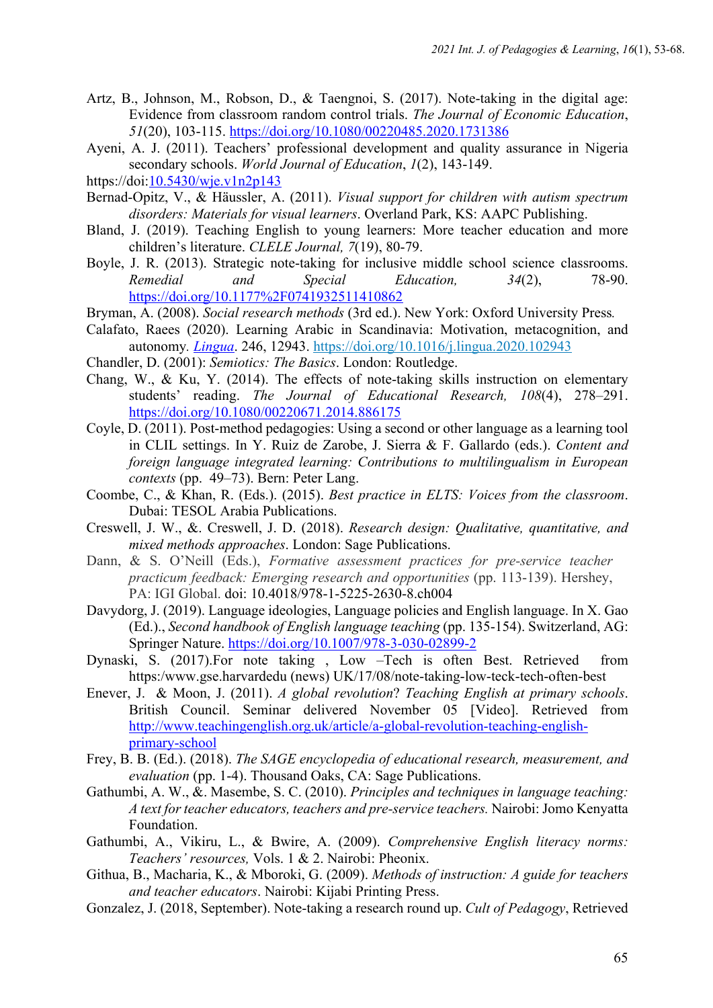- Artz, B., Johnson, M., Robson, D., & Taengnoi, S. (2017). Note-taking in the digital age: Evidence from classroom random control trials. *The Journal of Economic Education*, *51*(20), 103-115. https://doi.org/10.1080/00220485.2020.1731386
- Ayeni, A. J. (2011). Teachers' professional development and quality assurance in Nigeria secondary schools. *World Journal of Education*, *1*(2), 143-149.
- https://doi:10.5430/wje.v1n2p143
- Bernad-Opitz, V., & Häussler, A. (2011). *Visual support for children with autism spectrum disorders: Materials for visual learners*. Overland Park, KS: AAPC Publishing.
- Bland, J. (2019). Teaching English to young learners: More teacher education and more children's literature. *CLELE Journal, 7*(19), 80-79.
- Boyle, J. R. (2013). Strategic note-taking for inclusive middle school science classrooms. *Remedial and Special Education, 34*(2), 78-90. https://doi.org/10.1177%2F0741932511410862
- Bryman, A. (2008). *Social research methods* (3rd ed.). New York: Oxford University Press*.*
- Calafato, Raees (2020). Learning Arabic in Scandinavia: Motivation, metacognition, and autonomy*. Lingua*. 246, 12943. https://doi.org/10.1016/j.lingua.2020.102943
- Chandler, D. (2001): *Semiotics: The Basics*. London: Routledge.
- Chang, W., & Ku, Y. (2014). The effects of note-taking skills instruction on elementary students' reading. *The Journal of Educational Research, 108*(4), 278–291. https://doi.org/10.1080/00220671.2014.886175
- Coyle, D. (2011). Post-method pedagogies: Using a second or other language as a learning tool in CLIL settings. In Y. Ruiz de Zarobe, J. Sierra & F. Gallardo (eds.). *Content and foreign language integrated learning: Contributions to multilingualism in European contexts* (pp. 49–73). Bern: Peter Lang.
- Coombe, C., & Khan, R. (Eds.). (2015). *Best practice in ELTS: Voices from the classroom*. Dubai: TESOL Arabia Publications.
- Creswell, J. W., &. Creswell, J. D. (2018). *Research design: Qualitative, quantitative, and mixed methods approaches*. London: Sage Publications.
- Dann, & S. O'Neill (Eds.), *Formative assessment practices for pre-service teacher practicum feedback: Emerging research and opportunities* (pp. 113-139). Hershey, PA: IGI Global. doi: 10.4018/978-1-5225-2630-8.ch004
- Davydorg, J. (2019). Language ideologies, Language policies and English language. In X. Gao (Ed.)., *Second handbook of English language teaching* (pp. 135-154). Switzerland, AG: Springer Nature. https://doi.org/10.1007/978-3-030-02899-2
- Dynaski, S. (2017).For note taking , Low –Tech is often Best. Retrieved from https:/www.gse.harvardedu (news) UK/17/08/note-taking-low-teck-tech-often-best
- Enever, J. & Moon, J. (2011). *A global revolution*? *Teaching English at primary schools*. British Council. Seminar delivered November 05 [Video]. Retrieved from http://www.teachingenglish.org.uk/article/a-global-revolution-teaching-englishprimary-school
- Frey, B. B. (Ed.). (2018). *The SAGE encyclopedia of educational research, measurement, and evaluation* (pp. 1-4). Thousand Oaks, CA: Sage Publications.
- Gathumbi, A. W., &. Masembe, S. C. (2010). *Principles and techniques in language teaching: A text for teacher educators, teachers and pre-service teachers.* Nairobi: Jomo Kenyatta Foundation.
- Gathumbi, A., Vikiru, L., & Bwire, A. (2009). *Comprehensive English literacy norms: Teachers' resources,* Vols. 1 & 2. Nairobi: Pheonix.
- Githua, B., Macharia, K., & Mboroki, G. (2009). *Methods of instruction: A guide for teachers and teacher educators*. Nairobi: Kijabi Printing Press.
- Gonzalez, J. (2018, September). Note-taking a research round up. *Cult of Pedagogy*, Retrieved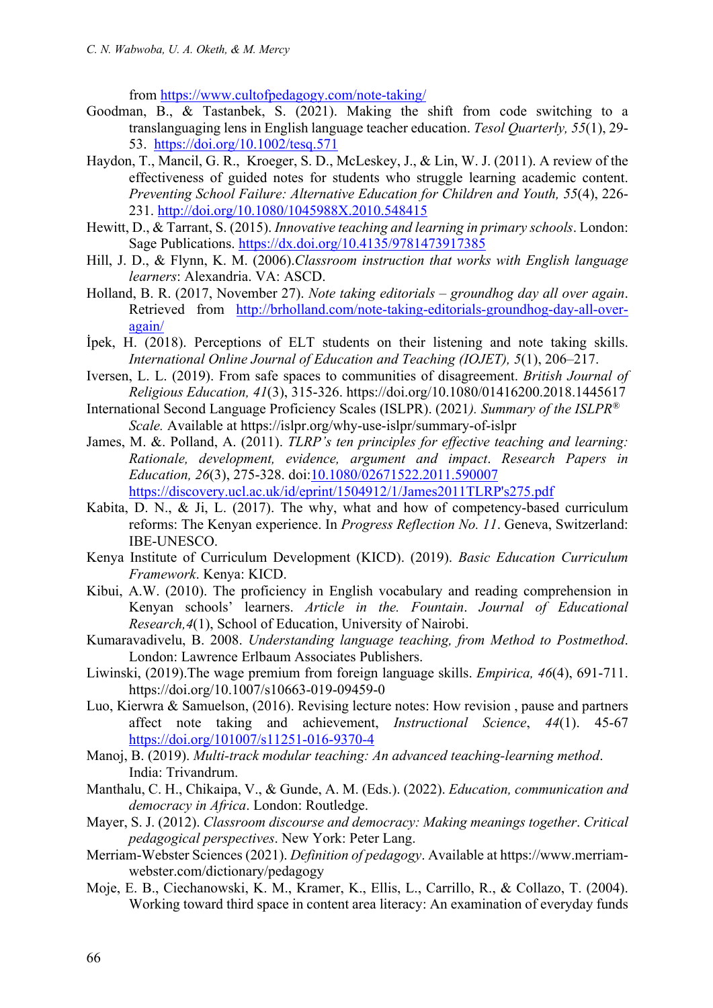from https://www.cultofpedagogy.com/note-taking/

- Goodman, B., & Tastanbek, S. (2021). Making the shift from code switching to a translanguaging lens in English language teacher education. *Tesol Quarterly, 55*(1), 29- 53. https://doi.org/10.1002/tesq.571
- Haydon, T., Mancil, G. R., Kroeger, S. D., McLeskey, J., & Lin, W. J. (2011). A review of the effectiveness of guided notes for students who struggle learning academic content. *Preventing School Failure: Alternative Education for Children and Youth, 55*(4), 226- 231. http://doi.org/10.1080/1045988X.2010.548415
- Hewitt, D., & Tarrant, S. (2015). *Innovative teaching and learning in primary schools*. London: Sage Publications. https://dx.doi.org/10.4135/9781473917385
- Hill, J. D., & Flynn, K. M. (2006).*Classroom instruction that works with English language learners*: Alexandria. VA: ASCD.
- Holland, B. R. (2017, November 27). *Note taking editorials – groundhog day all over again*. Retrieved from http://brholland.com/note-taking-editorials-groundhog-day-all-overagain/
- İpek, H. (2018). Perceptions of ELT students on their listening and note taking skills. *International Online Journal of Education and Teaching (IOJET), 5*(1), 206–217.
- Iversen, L. L. (2019). From safe spaces to communities of disagreement. *British Journal of Religious Education, 41*(3), 315-326. https://doi.org/10.1080/01416200.2018.1445617
- International Second Language Proficiency Scales (ISLPR). (2021*). Summary of the ISLPR® Scale.* Available at https://islpr.org/why-use-islpr/summary-of-islpr
- James, M. &. Polland, A. (2011). *TLRP's ten principles for effective teaching and learning: Rationale, development, evidence, argument and impact*. *Research Papers in Education, 26*(3), 275-328. doi:10.1080/02671522.2011.590007 https://discovery.ucl.ac.uk/id/eprint/1504912/1/James2011TLRP's275.pdf
- Kabita, D. N., & Ji, L. (2017). The why, what and how of competency-based curriculum reforms: The Kenyan experience. In *Progress Reflection No. 11*. Geneva, Switzerland: IBE-UNESCO.
- Kenya Institute of Curriculum Development (KICD). (2019). *Basic Education Curriculum Framework*. Kenya: KICD.
- Kibui, A.W. (2010). The proficiency in English vocabulary and reading comprehension in Kenyan schools' learners. *Article in the. Fountain*. *Journal of Educational Research,4*(1), School of Education, University of Nairobi.
- Kumaravadivelu, B. 2008. *Understanding language teaching, from Method to Postmethod*. London: Lawrence Erlbaum Associates Publishers.
- Liwinski, (2019).The wage premium from foreign language skills. *Empirica, 46*(4), 691-711. https://doi.org/10.1007/s10663-019-09459-0
- Luo, Kierwra & Samuelson, (2016). Revising lecture notes: How revision , pause and partners affect note taking and achievement, *Instructional Science*, *44*(1). 45-67 https://doi.org/101007/s11251-016-9370-4
- Manoj, B. (2019). *Multi-track modular teaching: An advanced teaching-learning method*. India: Trivandrum.
- Manthalu, C. H., Chikaipa, V., & Gunde, A. M. (Eds.). (2022). *Education, communication and democracy in Africa*. London: Routledge.
- Mayer, S. J. (2012). *Classroom discourse and democracy: Making meanings together*. *Critical pedagogical perspectives*. New York: Peter Lang.
- Merriam-Webster Sciences (2021). *Definition of pedagogy*. Available at https://www.merriamwebster.com/dictionary/pedagogy
- Moje, E. B., Ciechanowski, K. M., Kramer, K., Ellis, L., Carrillo, R., & Collazo, T. (2004). Working toward third space in content area literacy: An examination of everyday funds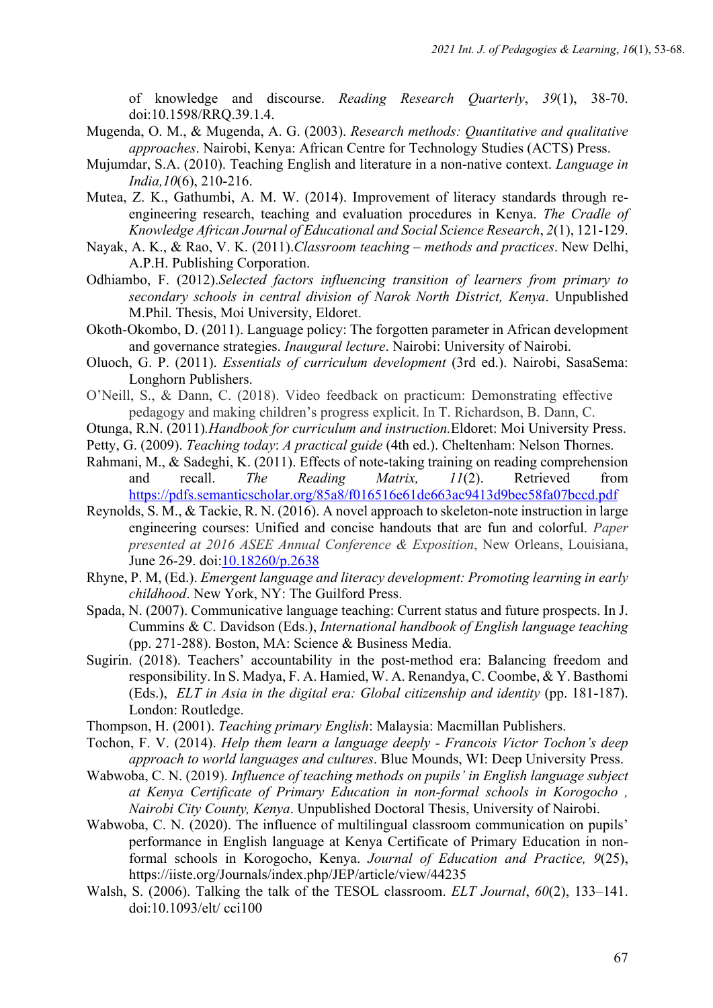of knowledge and discourse. *Reading Research Quarterly*, *39*(1), 38-70. doi:10.1598/RRQ.39.1.4.

- Mugenda, O. M., & Mugenda, A. G. (2003). *Research methods: Quantitative and qualitative approaches*. Nairobi, Kenya: African Centre for Technology Studies (ACTS) Press.
- Mujumdar, S.A. (2010). Teaching English and literature in a non-native context. *Language in India,10*(6), 210-216.
- Mutea, Z. K., Gathumbi, A. M. W. (2014). Improvement of literacy standards through reengineering research, teaching and evaluation procedures in Kenya. *The Cradle of Knowledge African Journal of Educational and Social Science Research*, *2*(1), 121-129.
- Nayak, A. K., & Rao, V. K. (2011).*Classroom teaching – methods and practices*. New Delhi, A.P.H. Publishing Corporation.
- Odhiambo, F. (2012).*Selected factors influencing transition of learners from primary to secondary schools in central division of Narok North District, Kenya*. Unpublished M.Phil. Thesis, Moi University, Eldoret.
- Okoth-Okombo, D. (2011). Language policy: The forgotten parameter in African development and governance strategies. *Inaugural lecture*. Nairobi: University of Nairobi.
- Oluoch, G. P. (2011). *Essentials of curriculum development* (3rd ed.). Nairobi, SasaSema: Longhorn Publishers.
- O'Neill, S., & Dann, C. (2018). Video feedback on practicum: Demonstrating effective pedagogy and making children's progress explicit. In T. Richardson, B. Dann, C.
- Otunga, R.N. (2011)*.Handbook for curriculum and instruction.*Eldoret: Moi University Press.
- Petty, G. (2009). *Teaching today*: *A practical guide* (4th ed.). Cheltenham: Nelson Thornes.
- Rahmani, M., & Sadeghi, K. (2011). Effects of note-taking training on reading comprehension and recall. *The Reading Matrix, 11*(2). Retrieved from https://pdfs.semanticscholar.org/85a8/f016516e61de663ac9413d9bec58fa07bccd.pdf
- Reynolds, S. M., & Tackie, R. N. (2016). A novel approach to skeleton-note instruction in large engineering courses: Unified and concise handouts that are fun and colorful. *Paper presented at 2016 ASEE Annual Conference & Exposition*, New Orleans, Louisiana, June 26-29. doi:10.18260/p.2638
- Rhyne, P. M, (Ed.). *Emergent language and literacy development: Promoting learning in early childhood*. New York, NY: The Guilford Press.
- Spada, N. (2007). Communicative language teaching: Current status and future prospects. In J. Cummins & C. Davidson (Eds.), *International handbook of English language teaching* (pp. 271-288). Boston, MA: Science & Business Media.
- Sugirin. (2018). Teachers' accountability in the post-method era: Balancing freedom and responsibility. In S. Madya, F. A. Hamied, W. A. Renandya, C. Coombe, & Y. Basthomi (Eds.), *ELT in Asia in the digital era: Global citizenship and identity* (pp. 181-187). London: Routledge.
- Thompson, H. (2001). *Teaching primary English*: Malaysia: Macmillan Publishers.
- Tochon, F. V. (2014). *Help them learn a language deeply - Francois Victor Tochon's deep approach to world languages and cultures*. Blue Mounds, WI: Deep University Press.
- Wabwoba, C. N. (2019). *Influence of teaching methods on pupils' in English language subject at Kenya Certificate of Primary Education in non-formal schools in Korogocho , Nairobi City County, Kenya*. Unpublished Doctoral Thesis, University of Nairobi.
- Wabwoba, C. N. (2020). The influence of multilingual classroom communication on pupils' performance in English language at Kenya Certificate of Primary Education in nonformal schools in Korogocho, Kenya. *Journal of Education and Practice, 9*(25), https://iiste.org/Journals/index.php/JEP/article/view/44235
- Walsh, S. (2006). Talking the talk of the TESOL classroom. *ELT Journal*, *60*(2), 133–141. doi:10.1093/elt/ cci100